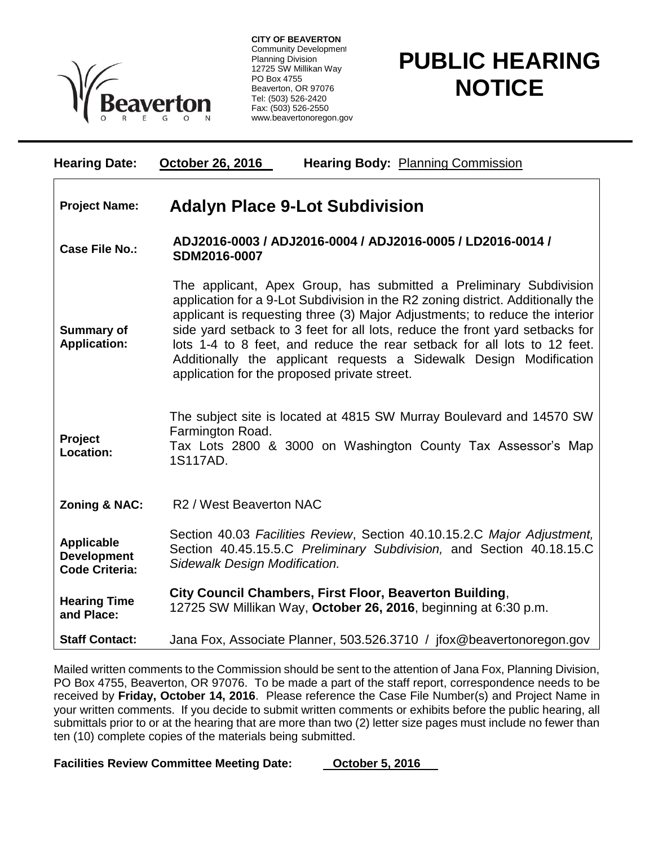

**CITY OF BEAVERTON** Community Development Planning Division 12725 SW Millikan Way PO Box 4755 Beaverton, OR 97076 Tel: (503) 526-2420 Fax: (503) 526-2550 www.beavertonoregon.gov

## **PUBLIC HEARING NOTICE**

| <b>Hearing Date:</b>                                             | <b>October 26, 2016</b><br><b>Hearing Body: Planning Commission</b>                                                                                                                                                                                                                                                                                                                                                                                                                                                    |
|------------------------------------------------------------------|------------------------------------------------------------------------------------------------------------------------------------------------------------------------------------------------------------------------------------------------------------------------------------------------------------------------------------------------------------------------------------------------------------------------------------------------------------------------------------------------------------------------|
| <b>Project Name:</b>                                             | <b>Adalyn Place 9-Lot Subdivision</b>                                                                                                                                                                                                                                                                                                                                                                                                                                                                                  |
| Case File No.:                                                   | ADJ2016-0003 / ADJ2016-0004 / ADJ2016-0005 / LD2016-0014 /<br>SDM2016-0007                                                                                                                                                                                                                                                                                                                                                                                                                                             |
| <b>Summary of</b><br><b>Application:</b>                         | The applicant, Apex Group, has submitted a Preliminary Subdivision<br>application for a 9-Lot Subdivision in the R2 zoning district. Additionally the<br>applicant is requesting three (3) Major Adjustments; to reduce the interior<br>side yard setback to 3 feet for all lots, reduce the front yard setbacks for<br>lots 1-4 to 8 feet, and reduce the rear setback for all lots to 12 feet.<br>Additionally the applicant requests a Sidewalk Design Modification<br>application for the proposed private street. |
| Project<br>Location:                                             | The subject site is located at 4815 SW Murray Boulevard and 14570 SW<br>Farmington Road.<br>Tax Lots 2800 & 3000 on Washington County Tax Assessor's Map<br>1S117AD.                                                                                                                                                                                                                                                                                                                                                   |
| Zoning & NAC:                                                    | R <sub>2</sub> / West Beaverton NAC                                                                                                                                                                                                                                                                                                                                                                                                                                                                                    |
| <b>Applicable</b><br><b>Development</b><br><b>Code Criteria:</b> | Section 40.03 Facilities Review, Section 40.10.15.2.C Major Adjustment,<br>Section 40.45.15.5.C Preliminary Subdivision, and Section 40.18.15.C<br>Sidewalk Design Modification.                                                                                                                                                                                                                                                                                                                                       |
| <b>Hearing Time</b><br>and Place:                                | City Council Chambers, First Floor, Beaverton Building,<br>12725 SW Millikan Way, October 26, 2016, beginning at 6:30 p.m.                                                                                                                                                                                                                                                                                                                                                                                             |
| <b>Staff Contact:</b>                                            | Jana Fox, Associate Planner, 503.526.3710 / jfox@beavertonoregon.gov                                                                                                                                                                                                                                                                                                                                                                                                                                                   |

Mailed written comments to the Commission should be sent to the attention of Jana Fox, Planning Division, PO Box 4755, Beaverton, OR 97076. To be made a part of the staff report, correspondence needs to be received by **Friday, October 14, 2016**. Please reference the Case File Number(s) and Project Name in your written comments. If you decide to submit written comments or exhibits before the public hearing, all submittals prior to or at the hearing that are more than two (2) letter size pages must include no fewer than ten (10) complete copies of the materials being submitted.

Facilities Review Committee Meeting Date: **October 5, 2016**